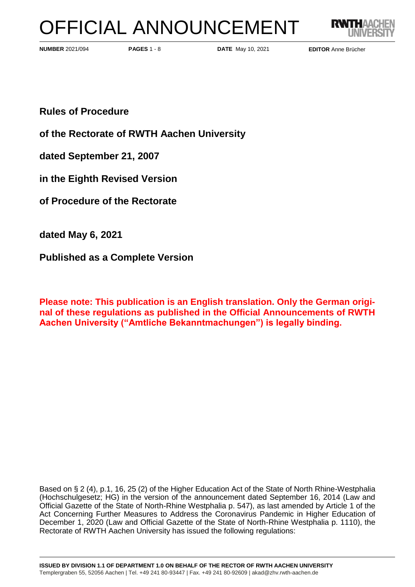# OFFICIAL ANNOUNCEMENT



**PAGES** 1 - 8 **DATE** May 10, 2021 **NUMBER** 2021/094 **EDITOR** Anne Brücher

**Rules of Procedure** 

**of the Rectorate of RWTH Aachen University**

**dated September 21, 2007**

**in the Eighth Revised Version**

**of Procedure of the Rectorate**

**dated May 6, 2021**

**Published as a Complete Version**

**Please note: This publication is an English translation. Only the German original of these regulations as published in the Official Announcements of RWTH Aachen University ("Amtliche Bekanntmachungen") is legally binding.**

Based on § 2 (4), p.1, 16, 25 (2) of the Higher Education Act of the State of North Rhine-Westphalia (Hochschulgesetz; HG) in the version of the announcement dated September 16, 2014 (Law and Official Gazette of the State of North-Rhine Westphalia p. 547), as last amended by Article 1 of the Act Concerning Further Measures to Address the Coronavirus Pandemic in Higher Education of December 1, 2020 (Law and Official Gazette of the State of North-Rhine Westphalia p. 1110), the Rectorate of RWTH Aachen University has issued the following regulations: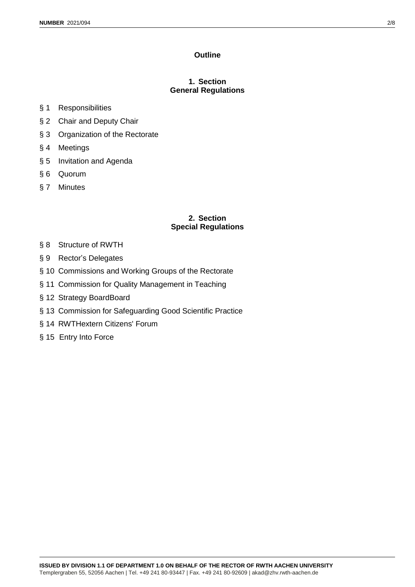## **Outline**

# **1. Section General Regulations**

- § 1 Responsibilities
- § 2 Chair and Deputy Chair
- § 3 Organization of the Rectorate
- § 4 Meetings
- § 5 Invitation and Agenda
- § 6 Quorum
- § 7 Minutes

## **2. Section Special Regulations**

- § 8 Structure of RWTH
- § 9 Rector's Delegates
- § 10 Commissions and Working Groups of the Rectorate
- § 11 Commission for Quality Management in Teaching
- § 12 Strategy BoardBoard
- § 13 Commission for Safeguarding Good Scientific Practice
- § 14 RWTHextern Citizens' Forum
- § 15 Entry Into Force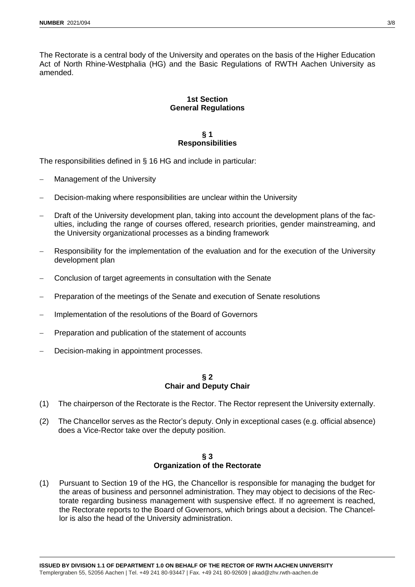The Rectorate is a central body of the University and operates on the basis of the Higher Education Act of North Rhine-Westphalia (HG) and the Basic Regulations of RWTH Aachen University as amended.

# **1st Section General Regulations**

# **§ 1 Responsibilities**

The responsibilities defined in § 16 HG and include in particular:

- Management of the University
- Decision-making where responsibilities are unclear within the University
- Draft of the University development plan, taking into account the development plans of the faculties, including the range of courses offered, research priorities, gender mainstreaming, and the University organizational processes as a binding framework
- Responsibility for the implementation of the evaluation and for the execution of the University development plan
- Conclusion of target agreements in consultation with the Senate
- Preparation of the meetings of the Senate and execution of Senate resolutions
- Implementation of the resolutions of the Board of Governors
- Preparation and publication of the statement of accounts
- Decision-making in appointment processes.

## **§ 2 Chair and Deputy Chair**

- (1) The chairperson of the Rectorate is the Rector. The Rector represent the University externally.
- (2) The Chancellor serves as the Rector's deputy. Only in exceptional cases (e.g. official absence) does a Vice-Rector take over the deputy position.

## **§ 3 Organization of the Rectorate**

(1) Pursuant to Section 19 of the HG, the Chancellor is responsible for managing the budget for the areas of business and personnel administration. They may object to decisions of the Rectorate regarding business management with suspensive effect. If no agreement is reached, the Rectorate reports to the Board of Governors, which brings about a decision. The Chancellor is also the head of the University administration.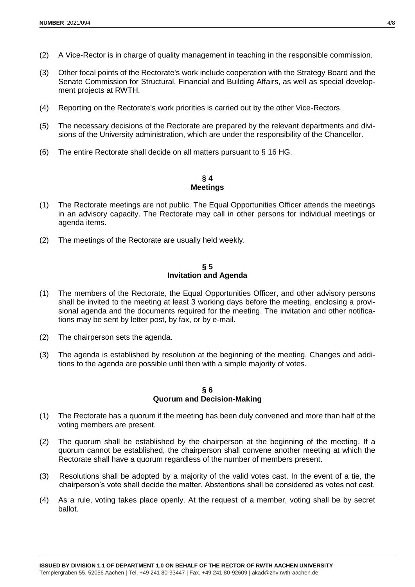- (2) A Vice-Rector is in charge of quality management in teaching in the responsible commission.
- (3) Other focal points of the Rectorate's work include cooperation with the Strategy Board and the Senate Commission for Structural, Financial and Building Affairs, as well as special development projects at RWTH.
- (4) Reporting on the Rectorate's work priorities is carried out by the other Vice-Rectors.
- (5) The necessary decisions of the Rectorate are prepared by the relevant departments and divisions of the University administration, which are under the responsibility of the Chancellor.
- (6) The entire Rectorate shall decide on all matters pursuant to § 16 HG.

#### **§ 4 Meetings**

- (1) The Rectorate meetings are not public. The Equal Opportunities Officer attends the meetings in an advisory capacity. The Rectorate may call in other persons for individual meetings or agenda items.
- (2) The meetings of the Rectorate are usually held weekly.

#### **§ 5 Invitation and Agenda**

- (1) The members of the Rectorate, the Equal Opportunities Officer, and other advisory persons shall be invited to the meeting at least 3 working days before the meeting, enclosing a provisional agenda and the documents required for the meeting. The invitation and other notifications may be sent by letter post, by fax, or by e-mail.
- (2) The chairperson sets the agenda.
- (3) The agenda is established by resolution at the beginning of the meeting. Changes and additions to the agenda are possible until then with a simple majority of votes.

#### **§ 6 Quorum and Decision-Making**

- (1) The Rectorate has a quorum if the meeting has been duly convened and more than half of the voting members are present.
- (2) The quorum shall be established by the chairperson at the beginning of the meeting. If a quorum cannot be established, the chairperson shall convene another meeting at which the Rectorate shall have a quorum regardless of the number of members present.
- (3) Resolutions shall be adopted by a majority of the valid votes cast. In the event of a tie, the chairperson's vote shall decide the matter. Abstentions shall be considered as votes not cast.
- (4) As a rule, voting takes place openly. At the request of a member, voting shall be by secret ballot.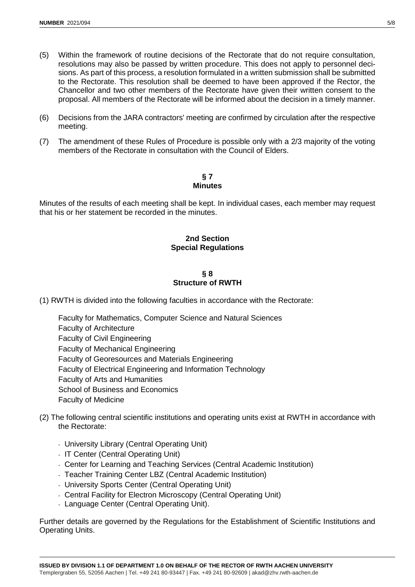- (5) Within the framework of routine decisions of the Rectorate that do not require consultation, resolutions may also be passed by written procedure. This does not apply to personnel decisions. As part of this process, a resolution formulated in a written submission shall be submitted to the Rectorate. This resolution shall be deemed to have been approved if the Rector, the Chancellor and two other members of the Rectorate have given their written consent to the proposal. All members of the Rectorate will be informed about the decision in a timely manner.
- (6) Decisions from the JARA contractors' meeting are confirmed by circulation after the respective meeting.
- (7) The amendment of these Rules of Procedure is possible only with a 2/3 majority of the voting members of the Rectorate in consultation with the Council of Elders.

#### **§ 7 Minutes**

Minutes of the results of each meeting shall be kept. In individual cases, each member may request that his or her statement be recorded in the minutes.

## **2nd Section Special Regulations**

## **§ 8 Structure of RWTH**

(1) RWTH is divided into the following faculties in accordance with the Rectorate:

- Faculty for Mathematics, Computer Science and Natural Sciences Faculty of Architecture Faculty of Civil Engineering Faculty of Mechanical Engineering Faculty of Georesources and Materials Engineering Faculty of Electrical Engineering and Information Technology Faculty of Arts and Humanities School of Business and Economics Faculty of Medicine
- (2) The following central scientific institutions and operating units exist at RWTH in accordance with the Rectorate:
	- University Library (Central Operating Unit)
	- IT Center (Central Operating Unit)
	- Center for Learning and Teaching Services (Central Academic Institution)
	- Teacher Training Center LBZ (Central Academic Institution)
	- University Sports Center (Central Operating Unit)
	- Central Facility for Electron Microscopy (Central Operating Unit)
	- Language Center (Central Operating Unit).

Further details are governed by the Regulations for the Establishment of Scientific Institutions and Operating Units.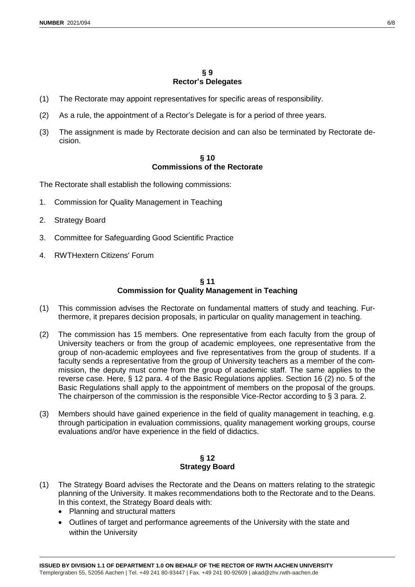## **§ 9 Rector's Delegates**

- (1) The Rectorate may appoint representatives for specific areas of responsibility.
- (2) As a rule, the appointment of a Rector's Delegate is for a period of three years.
- (3) The assignment is made by Rectorate decision and can also be terminated by Rectorate decision.

## **§ 10 Commissions of the Rectorate**

The Rectorate shall establish the following commissions:

- 1. Commission for Quality Management in Teaching
- 2. Strategy Board
- 3. Committee for Safeguarding Good Scientific Practice
- 4. RWTHextern Citizens' Forum

## **§ 11 Commission for Quality Management in Teaching**

- (1) This commission advises the Rectorate on fundamental matters of study and teaching. Furthermore, it prepares decision proposals, in particular on quality management in teaching.
- (2) The commission has 15 members. One representative from each faculty from the group of University teachers or from the group of academic employees, one representative from the group of non-academic employees and five representatives from the group of students. If a faculty sends a representative from the group of University teachers as a member of the commission, the deputy must come from the group of academic staff. The same applies to the reverse case. Here, § 12 para. 4 of the Basic Regulations applies. Section 16 (2) no. 5 of the Basic Regulations shall apply to the appointment of members on the proposal of the groups. The chairperson of the commission is the responsible Vice-Rector according to § 3 para. 2.
- (3) Members should have gained experience in the field of quality management in teaching, e.g. through participation in evaluation commissions, quality management working groups, course evaluations and/or have experience in the field of didactics.

## **§ 12 Strategy Board**

- (1) The Strategy Board advises the Rectorate and the Deans on matters relating to the strategic planning of the University. It makes recommendations both to the Rectorate and to the Deans. In this context, the Strategy Board deals with:
	- Planning and structural matters
	- Outlines of target and performance agreements of the University with the state and within the University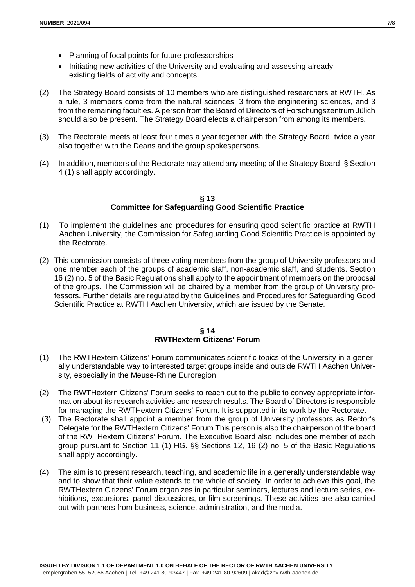- Planning of focal points for future professorships
- Initiating new activities of the University and evaluating and assessing already existing fields of activity and concepts.
- (2) The Strategy Board consists of 10 members who are distinguished researchers at RWTH. As a rule, 3 members come from the natural sciences, 3 from the engineering sciences, and 3 from the remaining faculties. A person from the Board of Directors of Forschungszentrum Jülich should also be present. The Strategy Board elects a chairperson from among its members.
- (3) The Rectorate meets at least four times a year together with the Strategy Board, twice a year also together with the Deans and the group spokespersons.
- (4) In addition, members of the Rectorate may attend any meeting of the Strategy Board. § Section 4 (1) shall apply accordingly.

#### **§ 13 Committee for Safeguarding Good Scientific Practice**

- (1) To implement the guidelines and procedures for ensuring good scientific practice at RWTH Aachen University, the Commission for Safeguarding Good Scientific Practice is appointed by the Rectorate.
- (2) This commission consists of three voting members from the group of University professors and one member each of the groups of academic staff, non-academic staff, and students. Section 16 (2) no. 5 of the Basic Regulations shall apply to the appointment of members on the proposal of the groups. The Commission will be chaired by a member from the group of University professors. Further details are regulated by the Guidelines and Procedures for Safeguarding Good Scientific Practice at RWTH Aachen University, which are issued by the Senate.

# **§ 14 RWTHextern Citizens' Forum**

- (1) The RWTHextern Citizens' Forum communicates scientific topics of the University in a generally understandable way to interested target groups inside and outside RWTH Aachen University, especially in the Meuse-Rhine Euroregion.
- (2) The RWTHextern Citizens' Forum seeks to reach out to the public to convey appropriate information about its research activities and research results. The Board of Directors is responsible for managing the RWTHextern Citizens' Forum. It is supported in its work by the Rectorate.
- (3) The Rectorate shall appoint a member from the group of University professors as Rector's Delegate for the RWTHextern Citizens' Forum This person is also the chairperson of the board of the RWTHextern Citizens' Forum. The Executive Board also includes one member of each group pursuant to Section 11 (1) HG. §§ Sections 12, 16 (2) no. 5 of the Basic Regulations shall apply accordingly.
- (4) The aim is to present research, teaching, and academic life in a generally understandable way and to show that their value extends to the whole of society. In order to achieve this goal, the RWTHextern Citizens' Forum organizes in particular seminars, lectures and lecture series, exhibitions, excursions, panel discussions, or film screenings. These activities are also carried out with partners from business, science, administration, and the media.